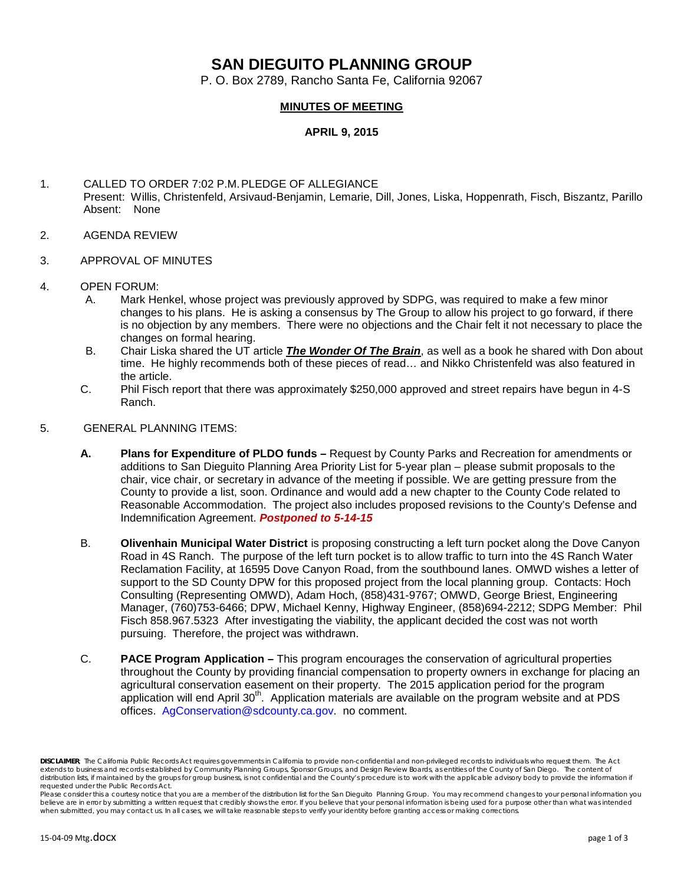## **SAN DIEGUITO PLANNING GROUP**

P. O. Box 2789, Rancho Santa Fe, California 92067

## **MINUTES OF MEETING**

**APRIL 9, 2015**

- 1. CALLED TO ORDER 7:02 P.M.PLEDGE OF ALLEGIANCE Present: Willis, Christenfeld, Arsivaud-Benjamin, Lemarie, Dill, Jones, Liska, Hoppenrath, Fisch, Biszantz, Parillo Absent: None
- 2. AGENDA REVIEW
- 3. APPROVAL OF MINUTES
- 4. OPEN FORUM:
	- A. Mark Henkel, whose project was previously approved by SDPG, was required to make a few minor changes to his plans. He is asking a consensus by The Group to allow his project to go forward, if there is no objection by any members. There were no objections and the Chair felt it not necessary to place the changes on formal hearing.
	- B. Chair Liska shared the UT article *The Wonder Of The Brain*, as well as a book he shared with Don about time. He highly recommends both of these pieces of read… and Nikko Christenfeld was also featured in the article.
	- C. Phil Fisch report that there was approximately \$250,000 approved and street repairs have begun in 4-S Ranch.
- 5. GENERAL PLANNING ITEMS:
	- **A. Plans for Expenditure of PLDO funds –** Request by County Parks and Recreation for amendments or additions to San Dieguito Planning Area Priority List for 5-year plan – please submit proposals to the chair, vice chair, or secretary in advance of the meeting if possible. We are getting pressure from the County to provide a list, soon. Ordinance and would add a new chapter to the County Code related to Reasonable Accommodation. The project also includes proposed revisions to the County's Defense and Indemnification Agreement. *Postponed to 5-14-15*
	- B. **Olivenhain Municipal Water District** is proposing constructing a left turn pocket along the Dove Canyon Road in 4S Ranch. The purpose of the left turn pocket is to allow traffic to turn into the 4S Ranch Water Reclamation Facility, at 16595 Dove Canyon Road, from the southbound lanes. OMWD wishes a letter of support to the SD County DPW for this proposed project from the local planning group. Contacts: Hoch Consulting (Representing OMWD), Adam Hoch, (858)431-9767; OMWD, George Briest, Engineering Manager, (760)753-6466; DPW, Michael Kenny, Highway Engineer, (858)694-2212; SDPG Member: Phil Fisch 858.967.5323 After investigating the viability, the applicant decided the cost was not worth pursuing. Therefore, the project was withdrawn.
	- C. **PACE Program Application –** This program encourages the conservation of agricultural properties throughout the County by providing financial compensation to property owners in exchange for placing an agricultural conservation easement on their property. The 2015 application period for the program application will end April 30<sup>th</sup>. Application materials are available on the program website and at PDS offices. [AgConservation@sdcounty.ca.gov.](mailto:AgConservation@sdcounty.ca.gov) no comment.

*DISCLAIMER; The California Public Records Act requires governments in California to provide non-confidential and non-privileged records to individuals who request them. The Act extends to business and records established by Community Planning Groups, Sponsor Groups, and Design Review Boards, as entities of the County of San Diego. The content of*  distribution lists, if maintained by the groups for group business, is not confidential and the County's procedure is to work with the applicable advisory body to provide the information if *requested under the Public Records Act.*

*Please consider this a courtesy notice that you are a member of the distribution list for the San Dieguito Planning Group. You may recommend changes to your personal information you believe are in error by submitting a written request that credibly shows the error. If you believe that your personal information is being used for a purpose other than what was intended when submitted, you may contact us. In all cases, we will take reasonable steps to verify your identity before granting access or making corrections.*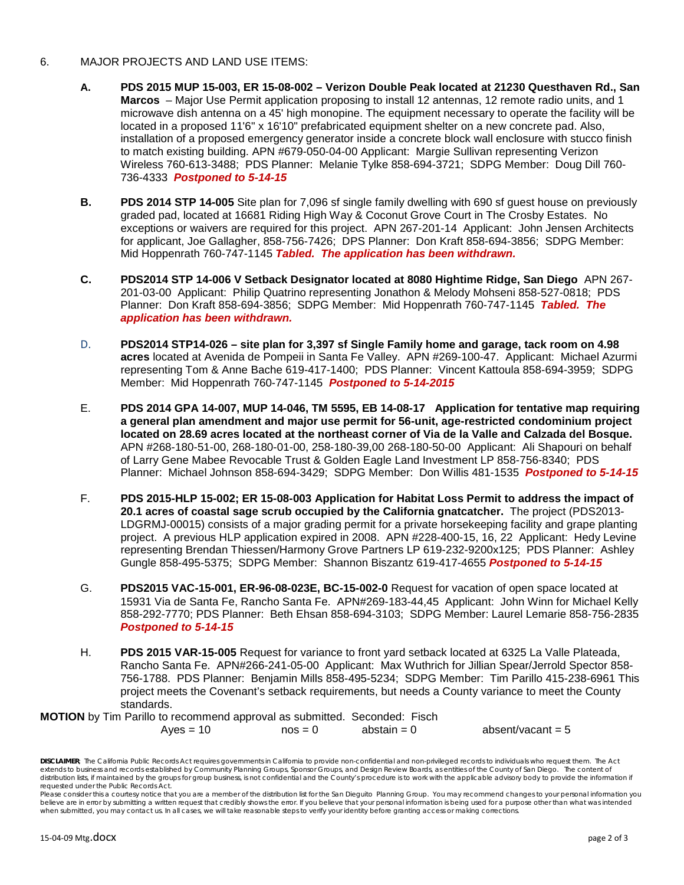- 6. MAJOR PROJECTS AND LAND USE ITEMS:
	- **A. PDS 2015 MUP 15-003, ER 15-08-002 – Verizon Double Peak located at 21230 Questhaven Rd., San Marcos** – Major Use Permit application proposing to install 12 antennas, 12 remote radio units, and 1 microwave dish antenna on a 45' high monopine. The equipment necessary to operate the facility will be located in a proposed 11'6" x 16'10" prefabricated equipment shelter on a new concrete pad. Also, installation of a proposed emergency generator inside a concrete block wall enclosure with stucco finish to match existing building. APN #679-050-04-00 Applicant: Margie Sullivan representing Verizon Wireless 760-613-3488; PDS Planner: Melanie Tylke 858-694-3721; SDPG Member: Doug Dill 760- 736-4333 *Postponed to 5-14-15*
	- **B. PDS 2014 STP 14-005** Site plan for 7,096 sf single family dwelling with 690 sf guest house on previously graded pad, located at 16681 Riding High Way & Coconut Grove Court in The Crosby Estates. No exceptions or waivers are required for this project. APN 267-201-14 Applicant: John Jensen Architects for applicant, Joe Gallagher, 858-756-7426; DPS Planner: Don Kraft 858-694-3856; SDPG Member: Mid Hoppenrath 760-747-1145 *Tabled. The application has been withdrawn.*
	- **C. PDS2014 STP 14-006 V Setback Designator located at 8080 Hightime Ridge, San Diego** APN 267- 201-03-00 Applicant: Philip Quatrino representing Jonathon & Melody Mohseni 858-527-0818; PDS Planner: Don Kraft 858-694-3856; SDPG Member: Mid Hoppenrath 760-747-1145 *Tabled. The application has been withdrawn.*
	- D. **PDS2014 STP14-026 – site plan for 3,397 sf Single Family home and garage, tack room on 4.98 acres** located at Avenida de Pompeii in Santa Fe Valley. APN #269-100-47. Applicant: Michael Azurmi representing Tom & Anne Bache 619-417-1400; PDS Planner: Vincent Kattoula 858-694-3959; SDPG Member: Mid Hoppenrath 760-747-1145 *Postponed to 5-14-2015*
	- E. **PDS 2014 GPA 14-007, MUP 14-046, TM 5595, EB 14-08-17 Application for tentative map requiring a general plan amendment and major use permit for 56-unit, age-restricted condominium project located on 28.69 acres located at the northeast corner of Via de la Valle and Calzada del Bosque.**  APN #268-180-51-00, 268-180-01-00, 258-180-39,00 268-180-50-00 Applicant: Ali Shapouri on behalf of Larry Gene Mabee Revocable Trust & Golden Eagle Land Investment LP 858-756-8340; PDS Planner: Michael Johnson 858-694-3429; SDPG Member: Don Willis 481-1535 *Postponed to 5-14-15*
	- F. **PDS 2015-HLP 15-002; ER 15-08-003 Application for Habitat Loss Permit to address the impact of 20.1 acres of coastal sage scrub occupied by the California gnatcatcher.** The project (PDS2013- LDGRMJ-00015) consists of a major grading permit for a private horsekeeping facility and grape planting project. A previous HLP application expired in 2008. APN #228-400-15, 16, 22 Applicant: Hedy Levine representing Brendan Thiessen/Harmony Grove Partners LP 619-232-9200x125; PDS Planner: Ashley Gungle 858-495-5375; SDPG Member: Shannon Biszantz 619-417-4655 *Postponed to 5-14-15*
	- G. **PDS2015 VAC-15-001, ER-96-08-023E, BC-15-002-0** Request for vacation of open space located at 15931 Via de Santa Fe, Rancho Santa Fe. APN#269-183-44,45 Applicant: John Winn for Michael Kelly 858-292-7770; PDS Planner: Beth Ehsan 858-694-3103; SDPG Member: Laurel Lemarie 858-756-2835 *Postponed to 5-14-15*
	- H. **PDS 2015 VAR-15-005** Request for variance to front yard setback located at 6325 La Valle Plateada, Rancho Santa Fe. APN#266-241-05-00 Applicant: Max Wuthrich for Jillian Spear/Jerrold Spector 858- 756-1788. PDS Planner: Benjamin Mills 858-495-5234; SDPG Member: Tim Parillo 415-238-6961 This project meets the Covenant's setback requirements, but needs a County variance to meet the County standards.

## **MOTION** by Tim Parillo to recommend approval as submitted. Seconded: Fisch

 $Ayes = 10$   $nos = 0$   $abstain = 0$   $absent/vacant = 5$ 

*DISCLAIMER; The California Public Records Act requires governments in California to provide non-confidential and non-privileged records to individuals who request them. The Act extends to business and records established by Community Planning Groups, Sponsor Groups, and Design Review Boards, as entities of the County of San Diego. The content of*  distribution lists, if maintained by the groups for group business, is not confidential and the County's procedure is to work with the applicable advisory body to provide the information if *requested under the Public Records Act.*

*Please consider this a courtesy notice that you are a member of the distribution list for the San Dieguito Planning Group. You may recommend changes to your personal information you believe are in error by submitting a written request that credibly shows the error. If you believe that your personal information is being used for a purpose other than what was intended when submitted, you may contact us. In all cases, we will take reasonable steps to verify your identity before granting access or making corrections.*